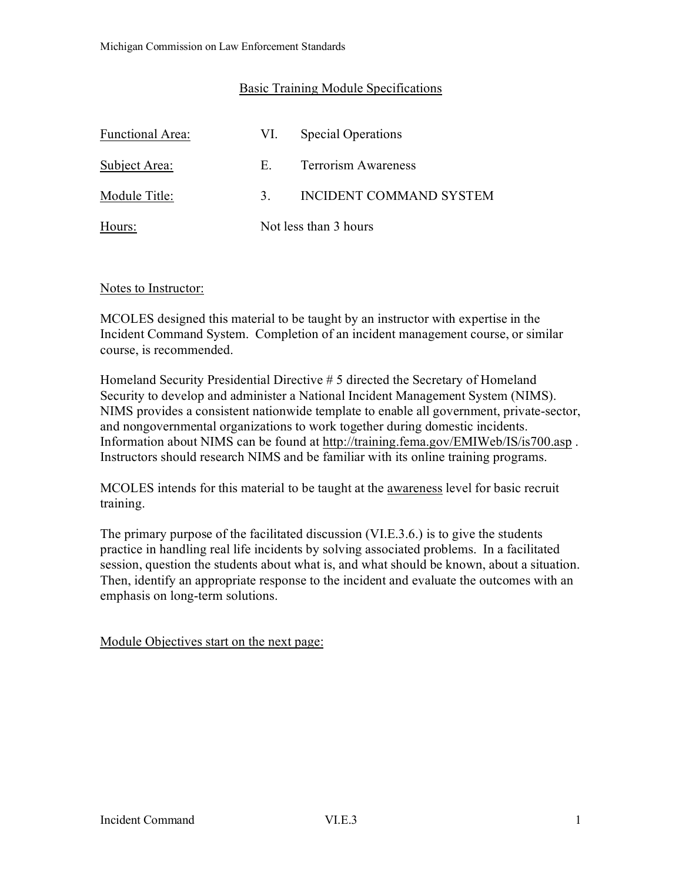# Basic Training Module Specifications

| <b>Functional Area:</b> | VI.                   | <b>Special Operations</b>  |
|-------------------------|-----------------------|----------------------------|
| Subject Area:           | Е.                    | <b>Terrorism Awareness</b> |
| Module Title:           | $\mathcal{R}$         | INCIDENT COMMAND SYSTEM    |
| Hours:                  | Not less than 3 hours |                            |

Notes to Instructor:

MCOLES designed this material to be taught by an instructor with expertise in the Incident Command System. Completion of an incident management course, or similar course, is recommended.

Homeland Security Presidential Directive # 5 directed the Secretary of Homeland Security to develop and administer a National Incident Management System (NIMS). NIMS provides a consistent nationwide template to enable all government, private-sector, and nongovernmental organizations to work together during domestic incidents. Information about NIMS can be found at<http://training.fema.gov/EMIWeb/IS/is700.asp> . Instructors should research NIMS and be familiar with its online training programs.

MCOLES intends for this material to be taught at the awareness level for basic recruit training.

The primary purpose of the facilitated discussion (VI.E.3.6.) is to give the students practice in handling real life incidents by solving associated problems. In a facilitated session, question the students about what is, and what should be known, about a situation. Then, identify an appropriate response to the incident and evaluate the outcomes with an emphasis on long-term solutions.

Module Objectives start on the next page: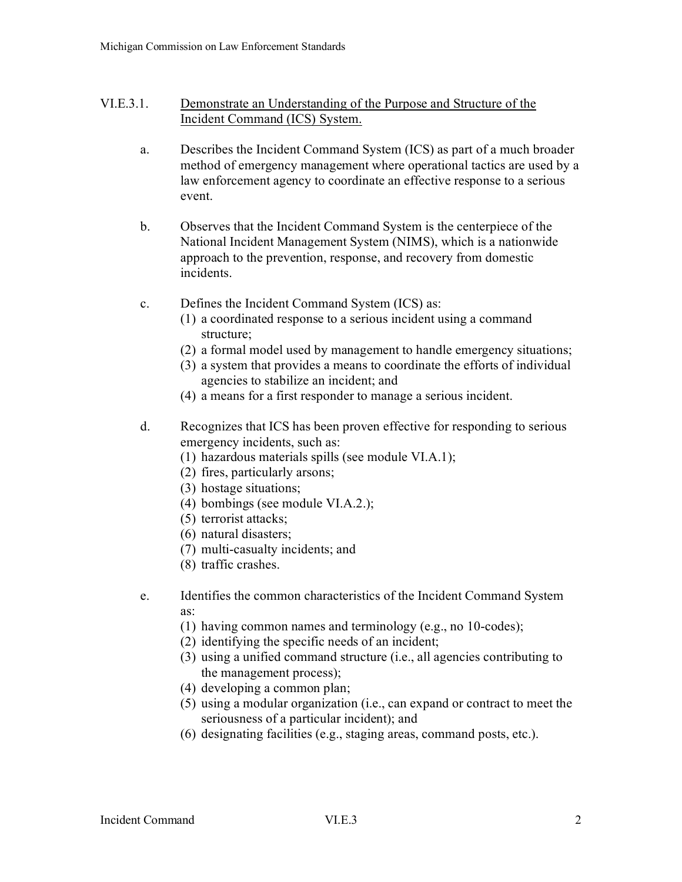## VI.E.3.1. Demonstrate an Understanding of the Purpose and Structure of the Incident Command (ICS) System.

- a. Describes the Incident Command System (ICS) as part of a much broader method of emergency management where operational tactics are used by a law enforcement agency to coordinate an effective response to a serious event.
- b. Observes that the Incident Command System is the centerpiece of the National Incident Management System (NIMS), which is a nationwide approach to the prevention, response, and recovery from domestic incidents.
- c. Defines the Incident Command System (ICS) as:
	- (1) a coordinated response to a serious incident using a command structure;
	- (2) a formal model used by management to handle emergency situations;
	- (3) a system that provides a means to coordinate the efforts of individual agencies to stabilize an incident; and
	- (4) a means for a first responder to manage a serious incident.
- d. Recognizes that ICS has been proven effective for responding to serious emergency incidents, such as:
	- (1) hazardous materials spills (see module VI.A.1);
	- (2) fires, particularly arsons;
	- (3) hostage situations;
	- (4) bombings (see module VI.A.2.);
	- (5) terrorist attacks;
	- (6) natural disasters;
	- (7) multi-casualty incidents; and
	- (8) traffic crashes.
- e. Identifies the common characteristics of the Incident Command System as:
	- (1) having common names and terminology (e.g., no 10-codes);
	- (2) identifying the specific needs of an incident;
	- (3) using a unified command structure (i.e., all agencies contributing to the management process);
	- (4) developing a common plan;
	- (5) using a modular organization (i.e., can expand or contract to meet the seriousness of a particular incident); and
	- (6) designating facilities (e.g., staging areas, command posts, etc.).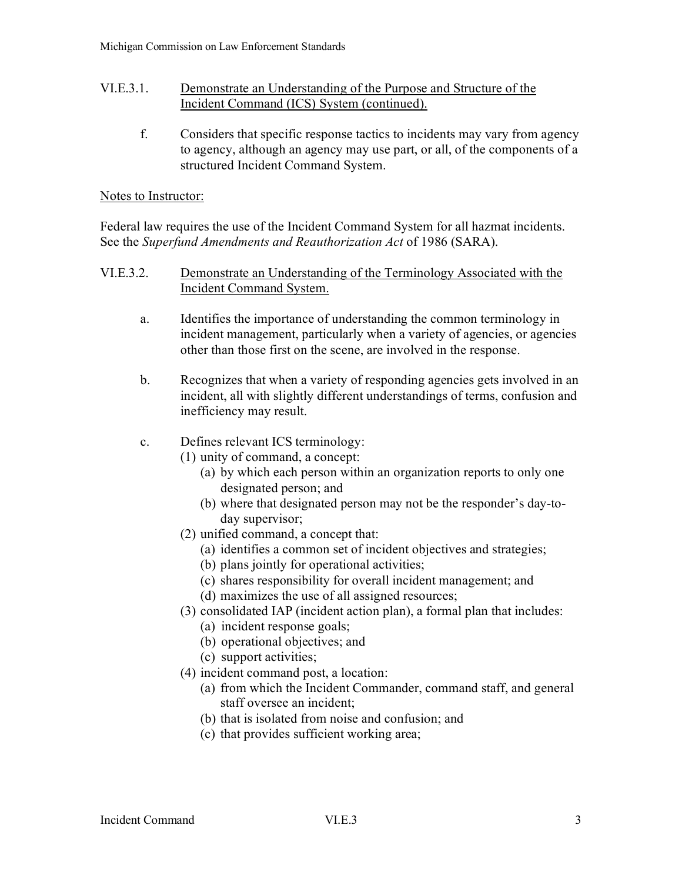### VI.E.3.1. Demonstrate an Understanding of the Purpose and Structure of the Incident Command (ICS) System (continued).

f. Considers that specific response tactics to incidents may vary from agency to agency, although an agency may use part, or all, of the components of a structured Incident Command System.

## Notes to Instructor:

Federal law requires the use of the Incident Command System for all hazmat incidents. See the *Superfund Amendments and Reauthorization Act* of 1986 (SARA).

## VI.E.3.2. Demonstrate an Understanding of the Terminology Associated with the Incident Command System.

- a. Identifies the importance of understanding the common terminology in incident management, particularly when a variety of agencies, or agencies other than those first on the scene, are involved in the response.
- b. Recognizes that when a variety of responding agencies gets involved in an incident, all with slightly different understandings of terms, confusion and inefficiency may result.

# c. Defines relevant ICS terminology:

- (1) unity of command, a concept:
	- (a) by which each person within an organization reports to only one designated person; and
	- (b) where that designated person may not be the responder's day-today supervisor;
	- (2) unified command, a concept that:
		- (a) identifies a common set of incident objectives and strategies;
		- (b) plans jointly for operational activities;
		- (c) shares responsibility for overall incident management; and
		- (d) maximizes the use of all assigned resources;
	- (3) consolidated IAP (incident action plan), a formal plan that includes:
		- (a) incident response goals;
		- (b) operational objectives; and
		- (c) support activities;
	- (4) incident command post, a location:
		- (a) from which the Incident Commander, command staff, and general staff oversee an incident;
		- (b) that is isolated from noise and confusion; and
		- (c) that provides sufficient working area;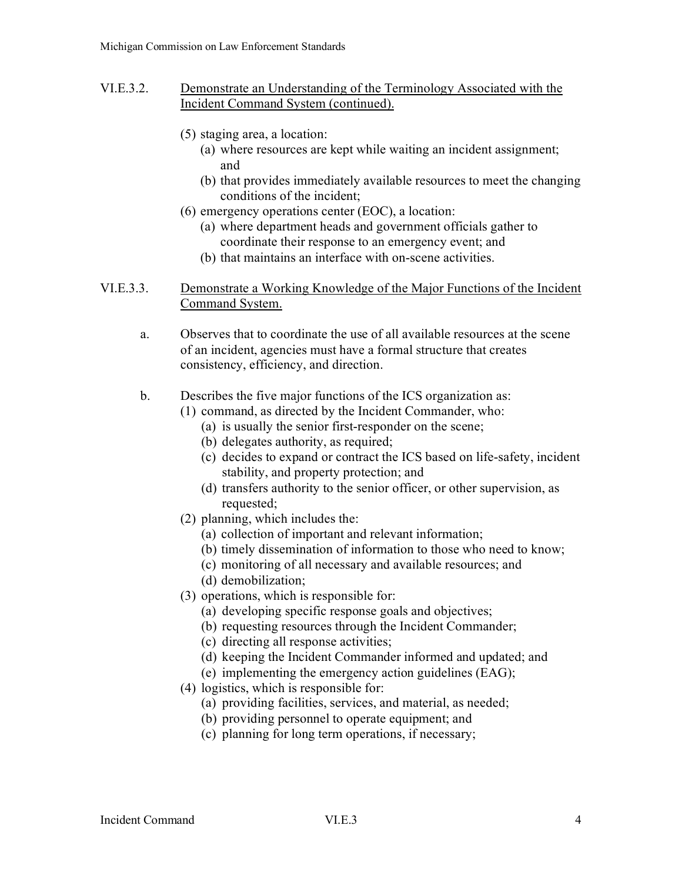- VI.E.3.2. Demonstrate an Understanding of the Terminology Associated with the Incident Command System (continued).
	- (5) staging area, a location:
		- (a) where resources are kept while waiting an incident assignment; and
		- (b) that provides immediately available resources to meet the changing conditions of the incident;
	- (6) emergency operations center (EOC), a location:
		- (a) where department heads and government officials gather to coordinate their response to an emergency event; and
		- (b) that maintains an interface with on-scene activities.

## VI.E.3.3. Demonstrate a Working Knowledge of the Major Functions of the Incident Command System.

a. Observes that to coordinate the use of all available resources at the scene of an incident, agencies must have a formal structure that creates consistency, efficiency, and direction.

#### b. Describes the five major functions of the ICS organization as:

- (1) command, as directed by the Incident Commander, who:
	- (a) is usually the senior first-responder on the scene;
	- (b) delegates authority, as required;
	- (c) decides to expand or contract the ICS based on life-safety, incident stability, and property protection; and
	- (d) transfers authority to the senior officer, or other supervision, as requested;
- (2) planning, which includes the:
	- (a) collection of important and relevant information;
	- (b) timely dissemination of information to those who need to know;
	- (c) monitoring of all necessary and available resources; and
	- (d) demobilization;
- (3) operations, which is responsible for:
	- (a) developing specific response goals and objectives;
	- (b) requesting resources through the Incident Commander;
	- (c) directing all response activities;
	- (d) keeping the Incident Commander informed and updated; and
	- (e) implementing the emergency action guidelines (EAG);
- (4) logistics, which is responsible for:
	- (a) providing facilities, services, and material, as needed;
	- (b) providing personnel to operate equipment; and
	- (c) planning for long term operations, if necessary;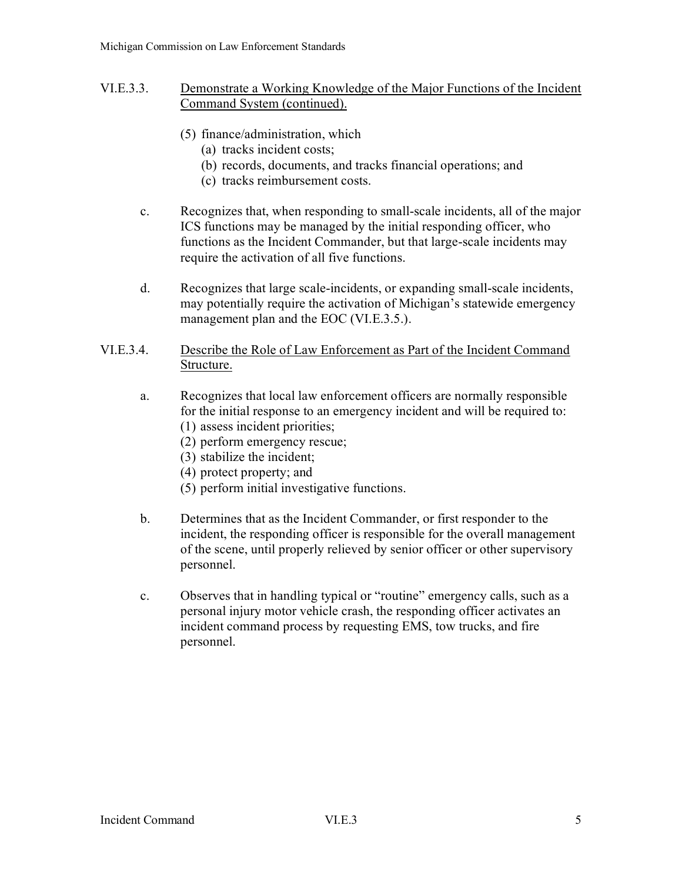- VI.E.3.3. Demonstrate a Working Knowledge of the Major Functions of the Incident Command System (continued).
	- (5) finance/administration, which
		- (a) tracks incident costs;
		- (b) records, documents, and tracks financial operations; and
		- (c) tracks reimbursement costs.
	- c. Recognizes that, when responding to small-scale incidents, all of the major ICS functions may be managed by the initial responding officer, who functions as the Incident Commander, but that large-scale incidents may require the activation of all five functions.
	- d. Recognizes that large scale-incidents, or expanding small-scale incidents, may potentially require the activation of Michigan's statewide emergency management plan and the EOC (VI.E.3.5.).

## VI.E.3.4. Describe the Role of Law Enforcement as Part of the Incident Command Structure.

- a. Recognizes that local law enforcement officers are normally responsible for the initial response to an emergency incident and will be required to:
	- (1) assess incident priorities;
	- (2) perform emergency rescue;
	- (3) stabilize the incident;
	- (4) protect property; and
	- (5) perform initial investigative functions.
- b. Determines that as the Incident Commander, or first responder to the incident, the responding officer is responsible for the overall management of the scene, until properly relieved by senior officer or other supervisory personnel.
- c. Observes that in handling typical or "routine" emergency calls, such as a personal injury motor vehicle crash, the responding officer activates an incident command process by requesting EMS, tow trucks, and fire personnel.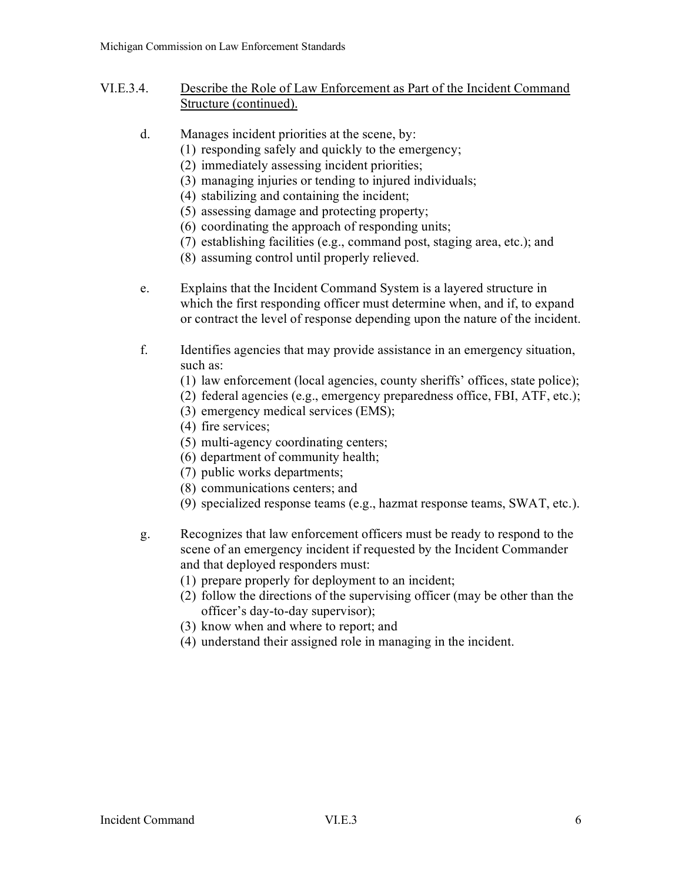- VI.E.3.4. Describe the Role of Law Enforcement as Part of the Incident Command Structure (continued).
	- d. Manages incident priorities at the scene, by:
		- (1) responding safely and quickly to the emergency;
		- (2) immediately assessing incident priorities;
		- (3) managing injuries or tending to injured individuals;
		- (4) stabilizing and containing the incident;
		- (5) assessing damage and protecting property;
		- (6) coordinating the approach of responding units;
		- (7) establishing facilities (e.g., command post, staging area, etc.); and
		- (8) assuming control until properly relieved.
	- e. Explains that the Incident Command System is a layered structure in which the first responding officer must determine when, and if, to expand or contract the level of response depending upon the nature of the incident.
	- f. Identifies agencies that may provide assistance in an emergency situation, such as:
		- (1) law enforcement (local agencies, county sheriffs' offices, state police);
		- (2) federal agencies (e.g., emergency preparedness office, FBI, ATF, etc.);
		- (3) emergency medical services (EMS);
		- (4) fire services;
		- (5) multi-agency coordinating centers;
		- (6) department of community health;
		- (7) public works departments;
		- (8) communications centers; and
		- (9) specialized response teams (e.g., hazmat response teams, SWAT, etc.).
	- g. Recognizes that law enforcement officers must be ready to respond to the scene of an emergency incident if requested by the Incident Commander and that deployed responders must:
		- (1) prepare properly for deployment to an incident;
		- (2) follow the directions of the supervising officer (may be other than the officer's day-to-day supervisor);
		- (3) know when and where to report; and
		- (4) understand their assigned role in managing in the incident.